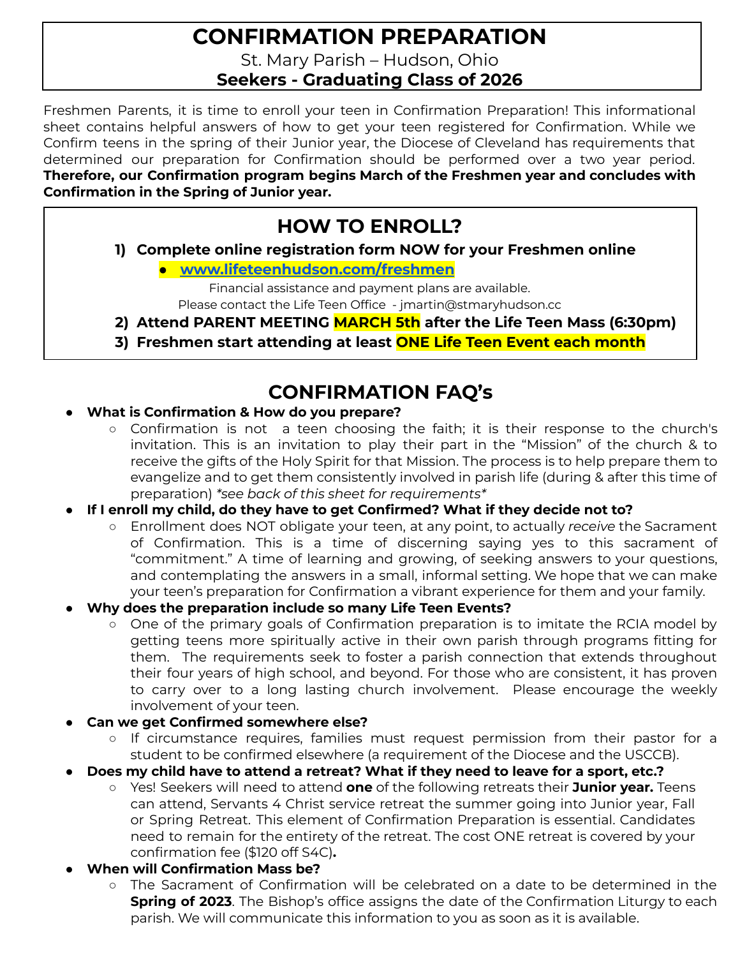## **CONFIRMATION PREPARATION**

St. Mary Parish – Hudson, Ohio

**Seekers - Graduating Class of 2026**

Freshmen Parents, it is time to enroll your teen in Confirmation Preparation! This informational sheet contains helpful answers of how to get your teen registered for Confirmation. While we Confirm teens in the spring of their Junior year, the Diocese of Cleveland has requirements that determined our preparation for Confirmation should be performed over a two year period. **Therefore, our Confirmation program begins March of the Freshmen year and concludes with Confirmation in the Spring of Junior year.**

## **HOW TO ENROLL?**

**1) Complete online registration form NOW for your Freshmen online**

**● [www.lifeteenhudson.com/freshmen](http://www.lifeteenhudson.com/freshmen)**

Financial assistance and payment plans are available. Please contact the Life Teen Office - jmartin@stmaryhudson.cc

- **2) Attend PARENT MEETING MARCH 5th after the Life Teen Mass (6:30pm)**
- **3) Freshmen start attending at least ONE Life Teen Event each month**

## **CONFIRMATION FAQ's**

- **What is Confirmation & How do you prepare?**
	- Confirmation is not a teen choosing the faith; it is their response to the church's invitation. This is an invitation to play their part in the "Mission" of the church & to receive the gifts of the Holy Spirit for that Mission. The process is to help prepare them to evangelize and to get them consistently involved in parish life (during & after this time of preparation) *\*see back of this sheet for requirements\**
- **● If I enroll my child, do they have to get Confirmed? What if they decide not to?**
	- Enrollment does NOT obligate your teen, at any point, to actually *receive* the Sacrament of Confirmation. This is a time of discerning saying yes to this sacrament of "commitment." A time of learning and growing, of seeking answers to your questions, and contemplating the answers in a small, informal setting. We hope that we can make your teen's preparation for Confirmation a vibrant experience for them and your family.
- **● Why does the preparation include so many Life Teen Events?**
	- One of the primary goals of Confirmation preparation is to imitate the RCIA model by getting teens more spiritually active in their own parish through programs fitting for them. The requirements seek to foster a parish connection that extends throughout their four years of high school, and beyond. For those who are consistent, it has proven to carry over to a long lasting church involvement. Please encourage the weekly involvement of your teen.
- **● Can we get Confirmed somewhere else?**
	- If circumstance requires, families must request permission from their pastor for a student to be confirmed elsewhere (a requirement of the Diocese and the USCCB).
- **● Does my child have to attend a retreat? What if they need to leave for a sport, etc.?**
	- **○** Yes! Seekers will need to attend **one** of the following retreats their **Junior year.** Teens can attend, Servants 4 Christ service retreat the summer going into Junior year, Fall or Spring Retreat. This element of Confirmation Preparation is essential. Candidates need to remain for the entirety of the retreat. The cost ONE retreat is covered by your confirmation fee (\$120 off S4C)**.**
- **● When will Confirmation Mass be?**
	- The Sacrament of Confirmation will be celebrated on a date to be determined in the **Spring of 2023**. The Bishop's office assigns the date of the Confirmation Liturgy to each parish. We will communicate this information to you as soon as it is available.